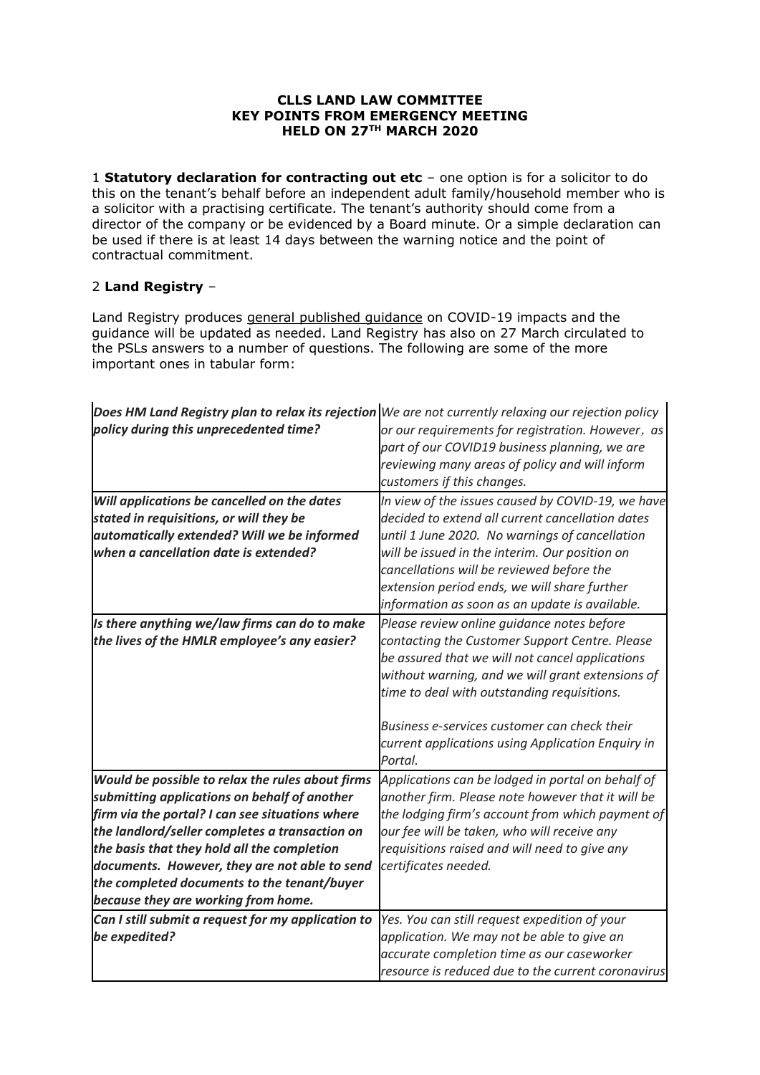# **CLLS LAND LAW COMMITTEE KEY POINTS FROM EMERGENCY MEETING HELD ON 27TH MARCH 2020**

1 **Statutory declaration for contracting out etc** – one option is for a solicitor to do this on the tenant's behalf before an independent adult family/household member who is a solicitor with a practising certificate. The tenant's authority should come from a director of the company or be evidenced by a Board minute. Or a simple declaration can be used if there is at least 14 days between the warning notice and the point of contractual commitment.

# 2 **Land Registry** –

 $\mathbf{r}$ 

Land Registry produces [general published guidance](https://eur02.safelinks.protection.outlook.com/?url=https%3A%2F%2Fwww.gov.uk%2Fgovernment%2Fnews%2Fcoronavirus-covid-19-impact-on-our-services&data=02%7C01%7CWarren.Gordon%40cms-cmno.com%7Ccd5ce452b5644cbd1e6608d7d62de7d0%7C8ddab29711af4f76b704c18a1d2b702f%7C0%7C1%7C637213364969628782&sdata=zkRsexpUjdJSLEPjOtiMCYxTwN9UFVauo8EjPH4%2Bkj4%3D&reserved=0) on COVID-19 impacts and the guidance will be updated as needed. Land Registry has also on 27 March circulated to the PSLs answers to a number of questions. The following are some of the more important ones in tabular form:

 $\mathbf{r}$ 

 $\mathbf{r}$ 

| Does HM Land Registry plan to relax its rejection We are not currently relaxing our rejection policy |                                                    |
|------------------------------------------------------------------------------------------------------|----------------------------------------------------|
| policy during this unprecedented time?                                                               | or our requirements for registration. However, as  |
|                                                                                                      | part of our COVID19 business planning, we are      |
|                                                                                                      | reviewing many areas of policy and will inform     |
|                                                                                                      | customers if this changes.                         |
| Will applications be cancelled on the dates                                                          | In view of the issues caused by COVID-19, we have  |
| stated in requisitions, or will they be                                                              | decided to extend all current cancellation dates   |
| automatically extended? Will we be informed                                                          | until 1 June 2020. No warnings of cancellation     |
| when a cancellation date is extended?                                                                | will be issued in the interim. Our position on     |
|                                                                                                      | cancellations will be reviewed before the          |
|                                                                                                      | extension period ends, we will share further       |
|                                                                                                      | information as soon as an update is available.     |
| Is there anything we/law firms can do to make                                                        | Please review online guidance notes before         |
| the lives of the HMLR employee's any easier?                                                         | contacting the Customer Support Centre. Please     |
|                                                                                                      | be assured that we will not cancel applications    |
|                                                                                                      | without warning, and we will grant extensions of   |
|                                                                                                      | time to deal with outstanding requisitions.        |
|                                                                                                      |                                                    |
|                                                                                                      | Business e-services customer can check their       |
|                                                                                                      | current applications using Application Enquiry in  |
|                                                                                                      | Portal.                                            |
| Would be possible to relax the rules about firms                                                     | Applications can be lodged in portal on behalf of  |
| submitting applications on behalf of another                                                         | another firm. Please note however that it will be  |
| firm via the portal? I can see situations where                                                      | the lodging firm's account from which payment of   |
| the landlord/seller completes a transaction on                                                       | our fee will be taken, who will receive any        |
| the basis that they hold all the completion                                                          | requisitions raised and will need to give any      |
| documents. However, they are not able to send                                                        | certificates needed.                               |
| the completed documents to the tenant/buyer                                                          |                                                    |
| because they are working from home.                                                                  |                                                    |
| Can I still submit a request for my application to                                                   | Yes. You can still request expedition of your      |
| be expedited?                                                                                        | application. We may not be able to give an         |
|                                                                                                      | accurate completion time as our caseworker         |
|                                                                                                      | resource is reduced due to the current coronavirus |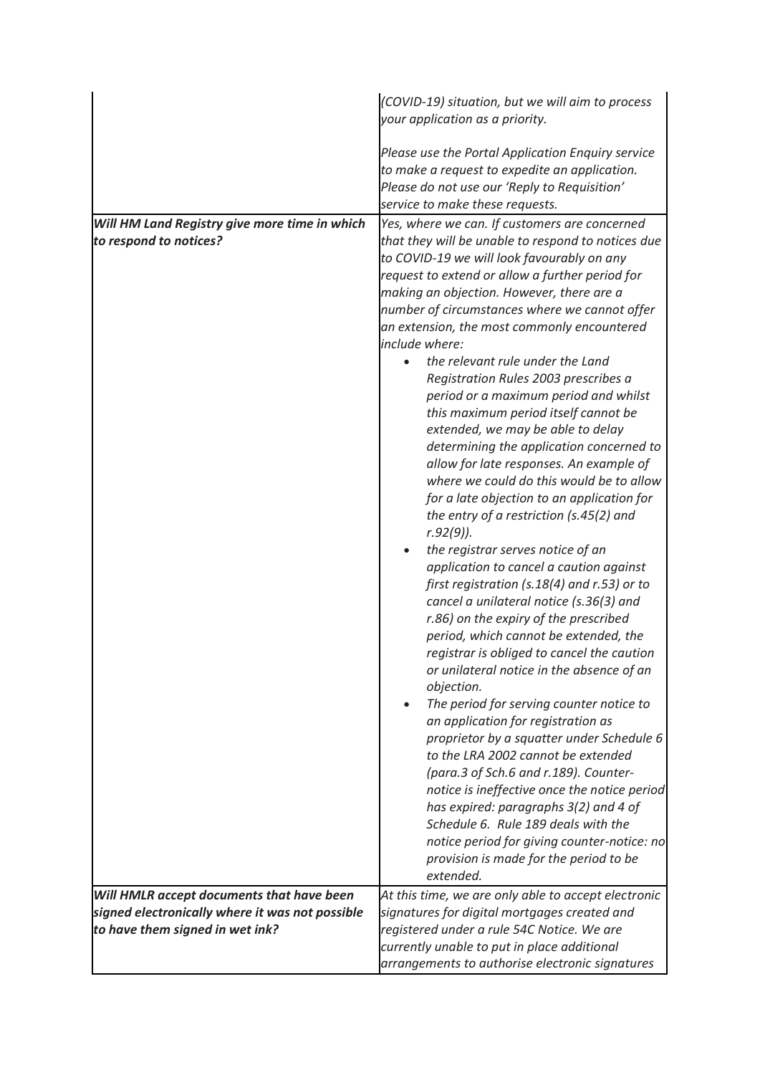|                                                                                    | (COVID-19) situation, but we will aim to process<br>your application as a priority.                                                                                                                                                                                                                                                                                                                                                                                                                                                                                                                                                                                                                                                                                                                                                                                                                                                                                                                                                                                                                                                                           |
|------------------------------------------------------------------------------------|---------------------------------------------------------------------------------------------------------------------------------------------------------------------------------------------------------------------------------------------------------------------------------------------------------------------------------------------------------------------------------------------------------------------------------------------------------------------------------------------------------------------------------------------------------------------------------------------------------------------------------------------------------------------------------------------------------------------------------------------------------------------------------------------------------------------------------------------------------------------------------------------------------------------------------------------------------------------------------------------------------------------------------------------------------------------------------------------------------------------------------------------------------------|
|                                                                                    | Please use the Portal Application Enquiry service<br>to make a request to expedite an application.<br>Please do not use our 'Reply to Requisition'<br>service to make these requests.                                                                                                                                                                                                                                                                                                                                                                                                                                                                                                                                                                                                                                                                                                                                                                                                                                                                                                                                                                         |
|                                                                                    |                                                                                                                                                                                                                                                                                                                                                                                                                                                                                                                                                                                                                                                                                                                                                                                                                                                                                                                                                                                                                                                                                                                                                               |
| Will HM Land Registry give more time in which<br>to respond to notices?            | Yes, where we can. If customers are concerned<br>that they will be unable to respond to notices due<br>to COVID-19 we will look favourably on any<br>request to extend or allow a further period for<br>making an objection. However, there are a<br>number of circumstances where we cannot offer<br>an extension, the most commonly encountered<br>include where:                                                                                                                                                                                                                                                                                                                                                                                                                                                                                                                                                                                                                                                                                                                                                                                           |
|                                                                                    | the relevant rule under the Land<br>Registration Rules 2003 prescribes a<br>period or a maximum period and whilst<br>this maximum period itself cannot be<br>extended, we may be able to delay<br>determining the application concerned to<br>allow for late responses. An example of<br>where we could do this would be to allow<br>for a late objection to an application for<br>the entry of a restriction (s.45(2) and<br>$r.92(9)$ ).<br>the registrar serves notice of an<br>application to cancel a caution against<br>first registration (s.18(4) and r.53) or to<br>cancel a unilateral notice (s.36(3) and<br>r.86) on the expiry of the prescribed<br>period, which cannot be extended, the<br>registrar is obliged to cancel the caution<br>or unilateral notice in the absence of an<br>objection.<br>The period for serving counter notice to<br>an application for registration as<br>proprietor by a squatter under Schedule 6<br>to the LRA 2002 cannot be extended<br>(para.3 of Sch.6 and r.189). Counter-<br>notice is ineffective once the notice period<br>has expired: paragraphs 3(2) and 4 of<br>Schedule 6. Rule 189 deals with the |
|                                                                                    | notice period for giving counter-notice: no<br>provision is made for the period to be                                                                                                                                                                                                                                                                                                                                                                                                                                                                                                                                                                                                                                                                                                                                                                                                                                                                                                                                                                                                                                                                         |
|                                                                                    | extended.                                                                                                                                                                                                                                                                                                                                                                                                                                                                                                                                                                                                                                                                                                                                                                                                                                                                                                                                                                                                                                                                                                                                                     |
|                                                                                    |                                                                                                                                                                                                                                                                                                                                                                                                                                                                                                                                                                                                                                                                                                                                                                                                                                                                                                                                                                                                                                                                                                                                                               |
| Will HMLR accept documents that have been                                          | At this time, we are only able to accept electronic                                                                                                                                                                                                                                                                                                                                                                                                                                                                                                                                                                                                                                                                                                                                                                                                                                                                                                                                                                                                                                                                                                           |
| signed electronically where it was not possible<br>to have them signed in wet ink? | signatures for digital mortgages created and                                                                                                                                                                                                                                                                                                                                                                                                                                                                                                                                                                                                                                                                                                                                                                                                                                                                                                                                                                                                                                                                                                                  |
|                                                                                    | registered under a rule 54C Notice. We are                                                                                                                                                                                                                                                                                                                                                                                                                                                                                                                                                                                                                                                                                                                                                                                                                                                                                                                                                                                                                                                                                                                    |
|                                                                                    | currently unable to put in place additional<br>arrangements to authorise electronic signatures                                                                                                                                                                                                                                                                                                                                                                                                                                                                                                                                                                                                                                                                                                                                                                                                                                                                                                                                                                                                                                                                |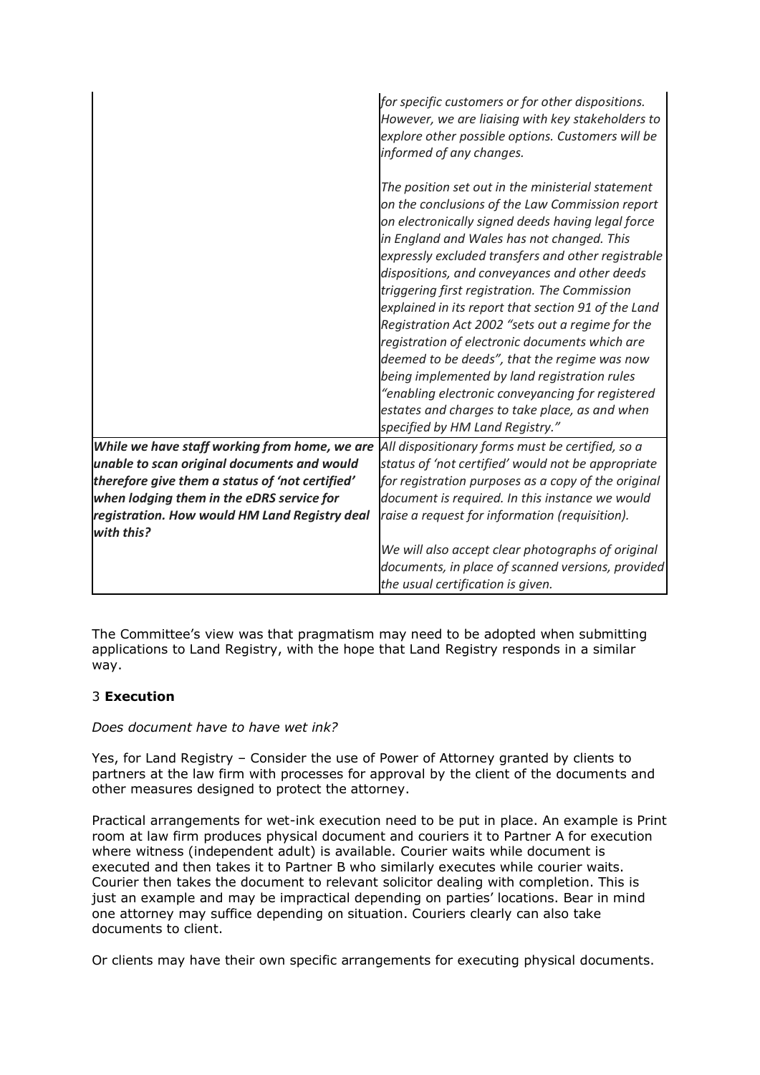|                                                                                              | for specific customers or for other dispositions.<br>However, we are liaising with key stakeholders to<br>explore other possible options. Customers will be<br>informed of any changes.                                                                                                                                                                                                                                                                                                                                                                                                                                                                                                                                                                               |
|----------------------------------------------------------------------------------------------|-----------------------------------------------------------------------------------------------------------------------------------------------------------------------------------------------------------------------------------------------------------------------------------------------------------------------------------------------------------------------------------------------------------------------------------------------------------------------------------------------------------------------------------------------------------------------------------------------------------------------------------------------------------------------------------------------------------------------------------------------------------------------|
|                                                                                              | The position set out in the ministerial statement<br>on the conclusions of the Law Commission report<br>on electronically signed deeds having legal force<br>in England and Wales has not changed. This<br>expressly excluded transfers and other registrable<br>dispositions, and conveyances and other deeds<br>triggering first registration. The Commission<br>explained in its report that section 91 of the Land<br>Registration Act 2002 "sets out a regime for the<br>registration of electronic documents which are<br>deemed to be deeds", that the regime was now<br>being implemented by land registration rules<br>"enabling electronic conveyancing for registered<br>estates and charges to take place, as and when<br>specified by HM Land Registry." |
| While we have staff working from home, we are<br>unable to scan original documents and would | All dispositionary forms must be certified, so a<br>status of 'not certified' would not be appropriate                                                                                                                                                                                                                                                                                                                                                                                                                                                                                                                                                                                                                                                                |
| therefore give them a status of 'not certified'<br>when lodging them in the eDRS service for | for registration purposes as a copy of the original<br>document is required. In this instance we would                                                                                                                                                                                                                                                                                                                                                                                                                                                                                                                                                                                                                                                                |
| registration. How would HM Land Registry deal<br>with this?                                  | raise a request for information (requisition).                                                                                                                                                                                                                                                                                                                                                                                                                                                                                                                                                                                                                                                                                                                        |
|                                                                                              | We will also accept clear photographs of original<br>documents, in place of scanned versions, provided<br>the usual certification is given.                                                                                                                                                                                                                                                                                                                                                                                                                                                                                                                                                                                                                           |

The Committee's view was that pragmatism may need to be adopted when submitting applications to Land Registry, with the hope that Land Registry responds in a similar way.

# 3 **Execution**

# *Does document have to have wet ink?*

Yes, for Land Registry – Consider the use of Power of Attorney granted by clients to partners at the law firm with processes for approval by the client of the documents and other measures designed to protect the attorney.

Practical arrangements for wet-ink execution need to be put in place. An example is Print room at law firm produces physical document and couriers it to Partner A for execution where witness (independent adult) is available. Courier waits while document is executed and then takes it to Partner B who similarly executes while courier waits. Courier then takes the document to relevant solicitor dealing with completion. This is just an example and may be impractical depending on parties' locations. Bear in mind one attorney may suffice depending on situation. Couriers clearly can also take documents to client.

Or clients may have their own specific arrangements for executing physical documents.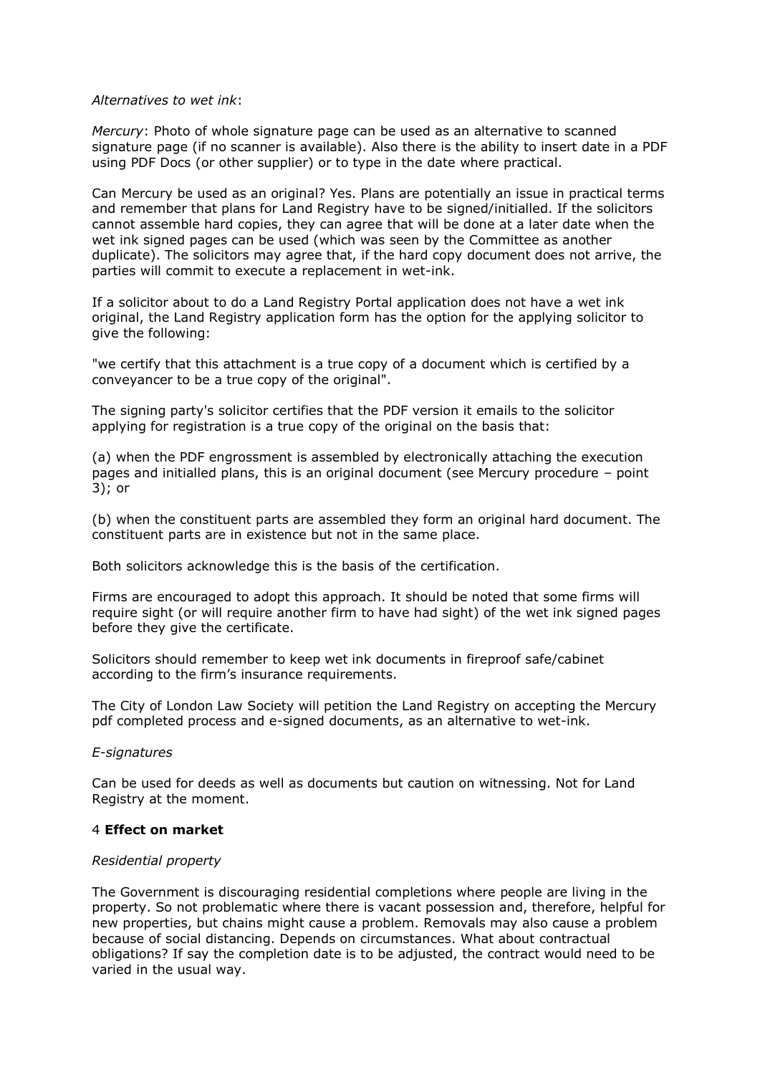#### *Alternatives to wet ink*:

*Mercury*: Photo of whole signature page can be used as an alternative to scanned signature page (if no scanner is available). Also there is the ability to insert date in a PDF using PDF Docs (or other supplier) or to type in the date where practical.

Can Mercury be used as an original? Yes. Plans are potentially an issue in practical terms and remember that plans for Land Registry have to be signed/initialled. If the solicitors cannot assemble hard copies, they can agree that will be done at a later date when the wet ink signed pages can be used (which was seen by the Committee as another duplicate). The solicitors may agree that, if the hard copy document does not arrive, the parties will commit to execute a replacement in wet-ink.

If a solicitor about to do a Land Registry Portal application does not have a wet ink original, the Land Registry application form has the option for the applying solicitor to give the following:

"we certify that this attachment is a true copy of a document which is certified by a conveyancer to be a true copy of the original".

The signing party's solicitor certifies that the PDF version it emails to the solicitor applying for registration is a true copy of the original on the basis that:

(a) when the PDF engrossment is assembled by electronically attaching the execution pages and initialled plans, this is an original document (see Mercury procedure – point 3); or

(b) when the constituent parts are assembled they form an original hard document. The constituent parts are in existence but not in the same place.

Both solicitors acknowledge this is the basis of the certification.

Firms are encouraged to adopt this approach. It should be noted that some firms will require sight (or will require another firm to have had sight) of the wet ink signed pages before they give the certificate.

Solicitors should remember to keep wet ink documents in fireproof safe/cabinet according to the firm's insurance requirements.

The City of London Law Society will petition the Land Registry on accepting the Mercury pdf completed process and e-signed documents, as an alternative to wet-ink.

# *E-signatures*

Can be used for deeds as well as documents but caution on witnessing. Not for Land Registry at the moment.

# 4 **Effect on market**

#### *Residential property*

The Government is discouraging residential completions where people are living in the property. So not problematic where there is vacant possession and, therefore, helpful for new properties, but chains might cause a problem. Removals may also cause a problem because of social distancing. Depends on circumstances. What about contractual obligations? If say the completion date is to be adjusted, the contract would need to be varied in the usual way.